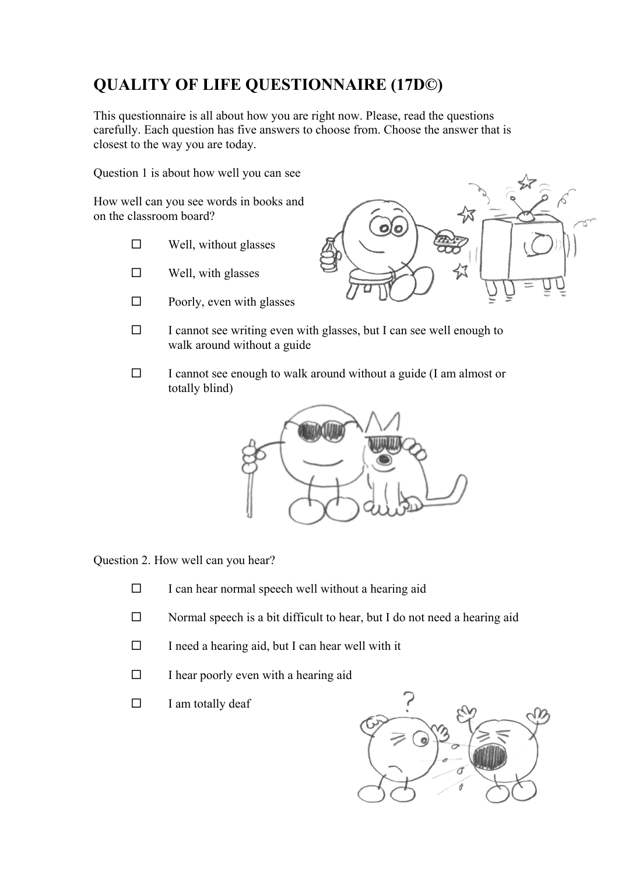# **QUALITY OF LIFE QUESTIONNAIRE (17D©)**

This questionnaire is all about how you are right now. Please, read the questions carefully. Each question has five answers to choose from. Choose the answer that is closest to the way you are today.

Question 1 is about how well you can see

How well can you see words in books and on the classroom board?

- $\square$  Well, without glasses
- $\square$  Well, with glasses
- $\square$  Poorly, even with glasses



- $\Box$  I cannot see writing even with glasses, but I can see well enough to walk around without a guide
- $\Box$  I cannot see enough to walk around without a guide (I am almost or totally blind)



Question 2. How well can you hear?

- $\Box$  I can hear normal speech well without a hearing aid
- $\square$  Normal speech is a bit difficult to hear, but I do not need a hearing aid
- $\Box$  I need a hearing aid, but I can hear well with it
- $\Box$  I hear poorly even with a hearing aid
- $\Box$  I am totally deaf

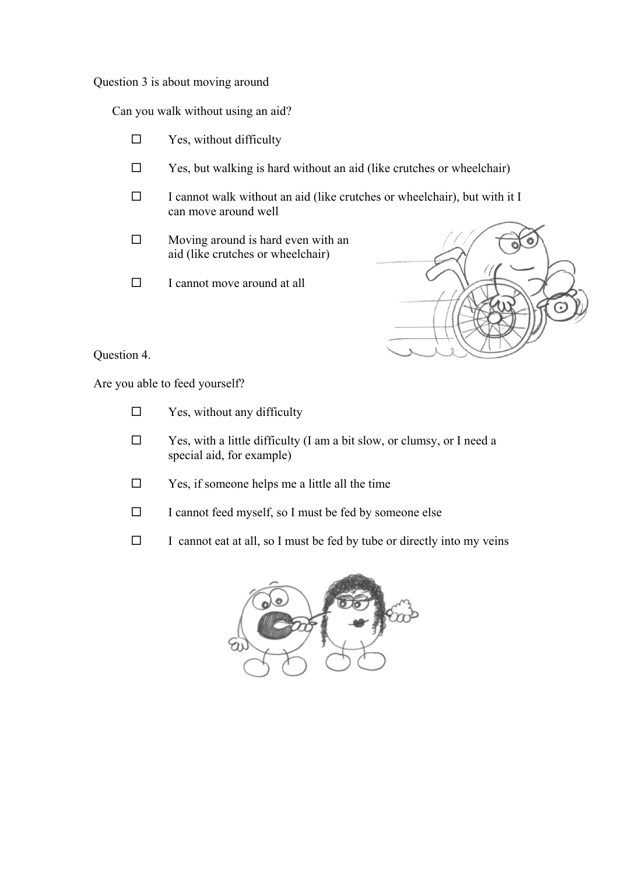Question 3 is about moving around

Can you walk without using an aid?

- $\square$  Yes, without difficulty
- $\square$  Yes, but walking is hard without an aid (like crutches or wheelchair)
- $\Box$  I cannot walk without an aid (like crutches or wheelchair), but with it I can move around well
- $\Box$  Moving around is hard even with an aid (like crutches or wheelchair)
- $\Box$  I cannot move around at all



Question 4.

Are you able to feed yourself?

- $\square$  Yes, without any difficulty
- $\square$  Yes, with a little difficulty (I am a bit slow, or clumsy, or I need a special aid, for example)
- $\square$  Yes, if someone helps me a little all the time
- $\Box$  I cannot feed myself, so I must be fed by someone else
- $\Box$  I cannot eat at all, so I must be fed by tube or directly into my veins

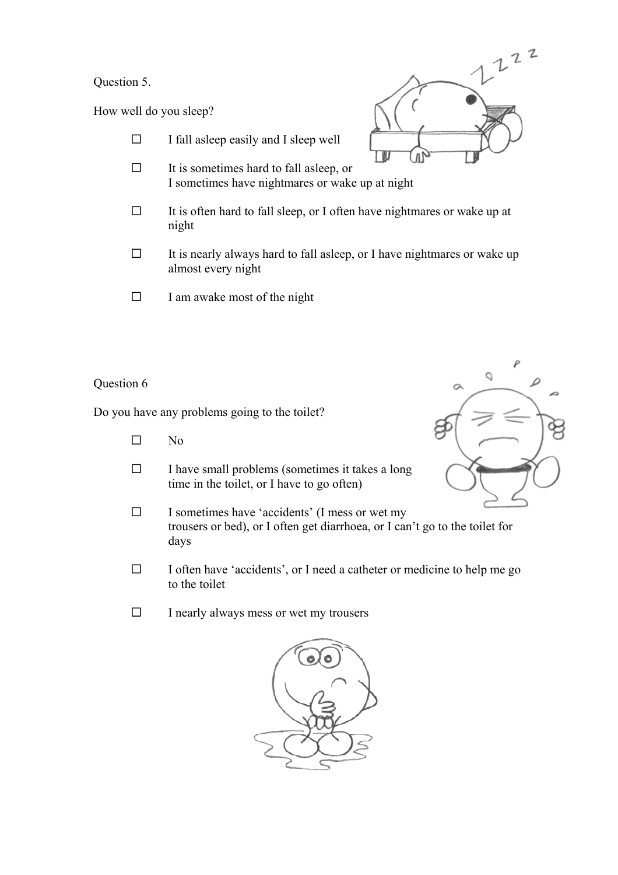## Question 5.

How well do you sleep?

- $\Box$  I fall asleep easily and I sleep well  $\Box$  It is sometimes hard to fall asleep, or I sometimes have nightmares or wake up at night  $\Box$  It is often hard to fall sleep, or I often have nightmares or wake up at night
- $\Box$  It is nearly always hard to fall asleep, or I have nightmares or wake up almost every night
- $\Box$  I am awake most of the night

## Question 6

Do you have any problems going to the toilet?

- $\square$  No
- $\square$  I have small problems (sometimes it takes a long time in the toilet, or I have to go often)
- $\square$  I sometimes have 'accidents' (I mess or wet my trousers or bed), or I often get diarrhoea, or I can't go to the toilet for days
- $\Box$  I often have 'accidents', or I need a catheter or medicine to help me go to the toilet
- $\Box$  I nearly always mess or wet my trousers





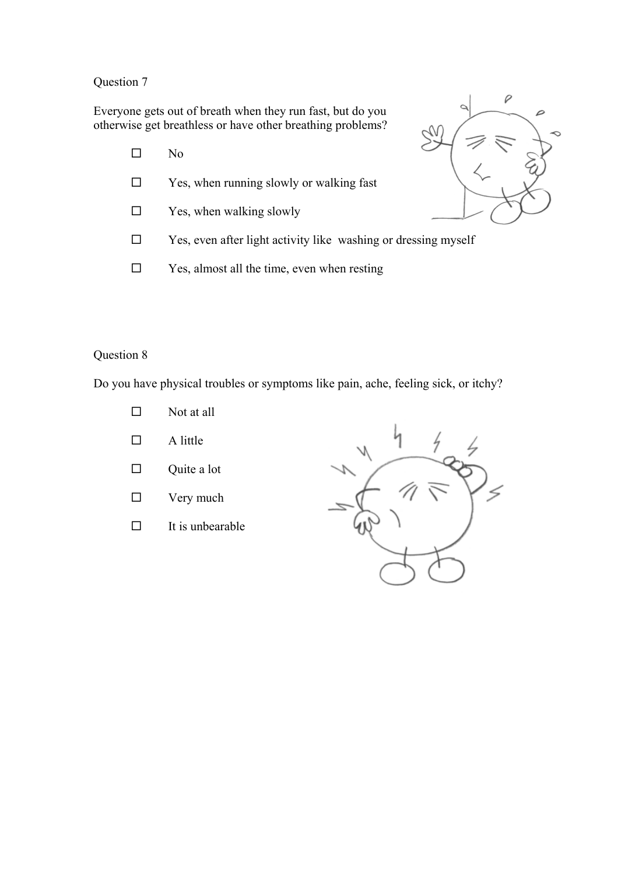Everyone gets out of breath when they run fast, but do you otherwise get breathless or have other breathing problems?

- $\square$  No
- □ Yes, when running slowly or walking fast
- $\square$  Yes, when walking slowly
- $\square$  Yes, even after light activity like washing or dressing myself
- $\square$  Yes, almost all the time, even when resting



## Question 8

Do you have physical troubles or symptoms like pain, ache, feeling sick, or itchy?

- $\square$  Not at all
- $\Box$  A little
- $\Box$  Quite a lot
- $\Box$  Very much
- $\Box$  It is unbearable

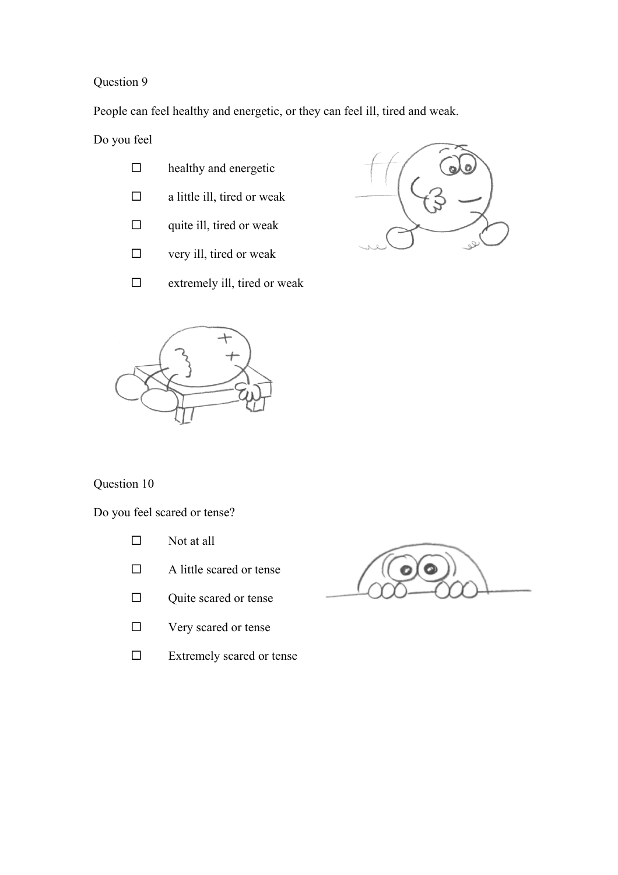People can feel healthy and energetic, or they can feel ill, tired and weak.

Do you feel

- $\Box$  healthy and energetic
- $\Box$  a little ill, tired or weak
- $\Box$  quite ill, tired or weak
- $\square$  very ill, tired or weak
- $\square$  extremely ill, tired or weak





# Question 10

Do you feel scared or tense?

- $\square$  Not at all
- $\Box$  A little scared or tense
- $\Box$  Quite scared or tense
- □ Very scared or tense
- $\square$  Extremely scared or tense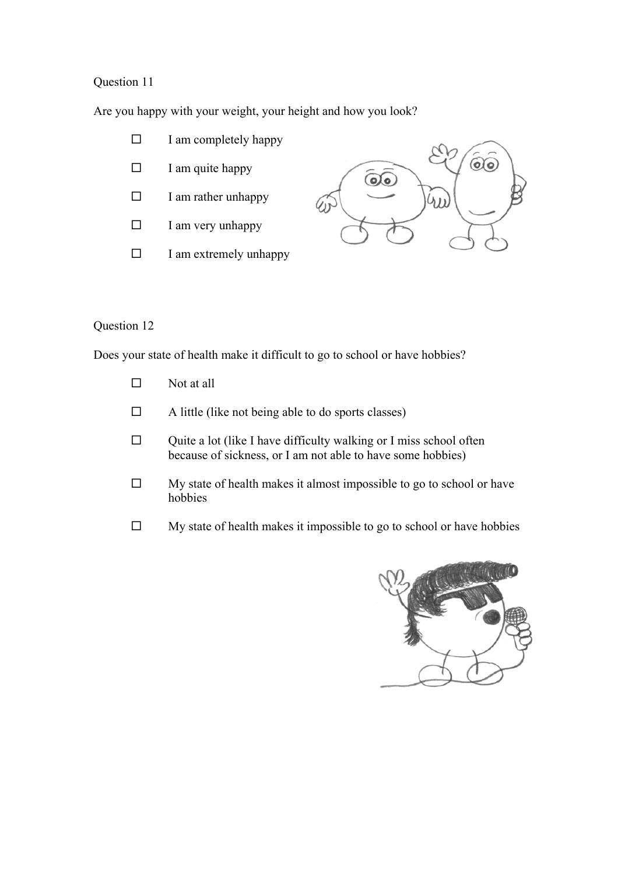Are you happy with your weight, your height and how you look?

- $\Box$  I am completely happy
- $\Box$  I am quite happy
- $\square$  I am rather unhappy
- $\Box$  I am very unhappy
- $\square$  I am extremely unhappy



## Question 12

Does your state of health make it difficult to go to school or have hobbies?

- $\square$  Not at all
- $\Box$  A little (like not being able to do sports classes)
- $\Box$  Quite a lot (like I have difficulty walking or I miss school often because of sickness, or I am not able to have some hobbies)
- $\Box$  My state of health makes it almost impossible to go to school or have hobbies
- $\Box$  My state of health makes it impossible to go to school or have hobbies

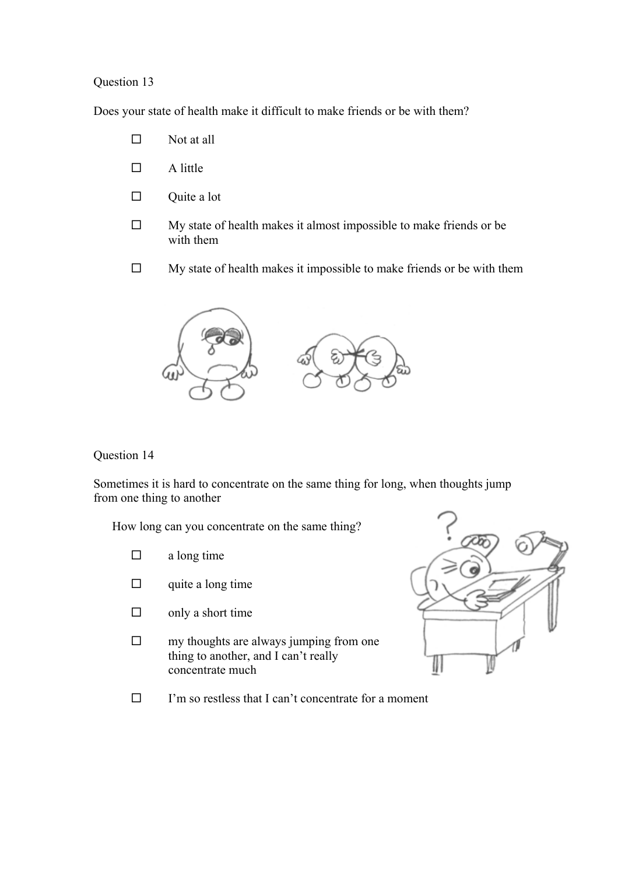Does your state of health make it difficult to make friends or be with them?

- $\square$  Not at all
- $\Box$  A little
- $\Box$  Quite a lot
- $\Box$  My state of health makes it almost impossible to make friends or be with them
- $\Box$  My state of health makes it impossible to make friends or be with them



#### Question 14

Sometimes it is hard to concentrate on the same thing for long, when thoughts jump from one thing to another

How long can you concentrate on the same thing?

- $\Box$  a long time
- $\Box$  quite a long time
- $\Box$  only a short time
- $\Box$  my thoughts are always jumping from one thing to another, and I can't really concentrate much



 $\Box$  I'm so restless that I can't concentrate for a moment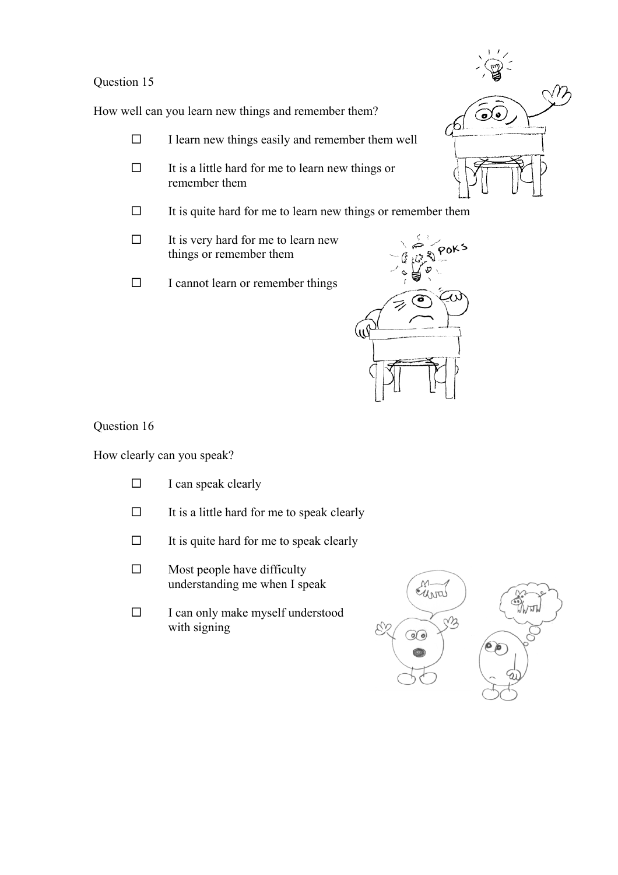How well can you learn new things and remember them?

- $\Box$  I learn new things easily and remember them well
- $\Box$  It is a little hard for me to learn new things or remember them
- $\Box$  It is quite hard for me to learn new things or remember them
- $\Box$  It is very hard for me to learn new things or remember them
- $\square$  I cannot learn or remember things



Question 16

How clearly can you speak?

- $\Box$  I can speak clearly
- $\Box$  It is a little hard for me to speak clearly
- $\Box$  It is quite hard for me to speak clearly
- $\square$  Most people have difficulty understanding me when I speak
- $\Box$  I can only make myself understood with signing